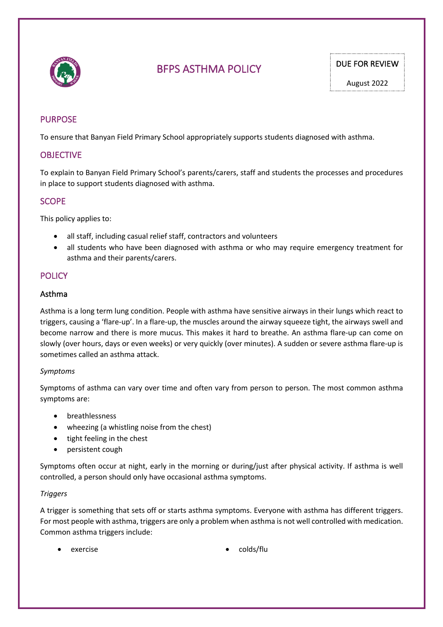

# BFPS ASTHMA POLICY DUE FOR REVIEW

# PURPOSE

To ensure that Banyan Field Primary School appropriately supports students diagnosed with asthma.

## **OBJECTIVE**

To explain to Banyan Field Primary School's parents/carers, staff and students the processes and procedures in place to support students diagnosed with asthma.

## **SCOPE**

This policy applies to:

- all staff, including casual relief staff, contractors and volunteers
- all students who have been diagnosed with asthma or who may require emergency treatment for asthma and their parents/carers.

# **POLICY**

#### Asthma

Asthma is a long term lung condition. People with asthma have sensitive airways in their lungs which react to triggers, causing a 'flare-up'. In a flare-up, the muscles around the airway squeeze tight, the airways swell and become narrow and there is more mucus. This makes it hard to breathe. An asthma flare-up can come on slowly (over hours, days or even weeks) or very quickly (over minutes). A sudden or severe asthma flare-up is sometimes called an asthma attack.

#### *Symptoms*

Symptoms of asthma can vary over time and often vary from person to person. The most common asthma symptoms are:

- breathlessness
- wheezing (a whistling noise from the chest)
- tight feeling in the chest
- persistent cough

Symptoms often occur at night, early in the morning or during/just after physical activity. If asthma is well controlled, a person should only have occasional asthma symptoms.

#### *Triggers*

A trigger is something that sets off or starts asthma symptoms. Everyone with asthma has different triggers. For most people with asthma, triggers are only a problem when asthma is not well controlled with medication. Common asthma triggers include:

- 
- exercise colds/flu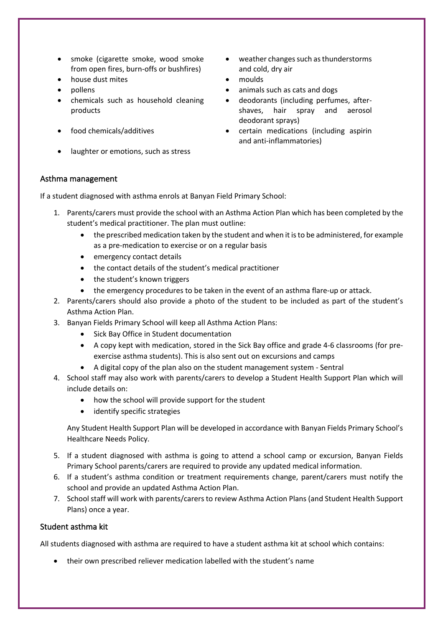- smoke (cigarette smoke, wood smoke from open fires, burn-offs or bushfires)
- house dust mites moulds
- 
- chemicals such as household cleaning products
- 
- laughter or emotions, such as stress
- weather changes such as thunderstorms and cold, dry air
- 
- pollens animals such as cats and dogs
	- deodorants (including perfumes, aftershaves, hair spray and aerosol deodorant sprays)
	- food chemicals/additives certain medications (including aspirin and anti-inflammatories)

## Asthma management

If a student diagnosed with asthma enrols at Banyan Field Primary School:

- 1. Parents/carers must provide the school with an Asthma Action Plan which has been completed by the student's medical practitioner. The plan must outline:
	- the prescribed medication taken by the student and when it is to be administered, for example as a pre-medication to exercise or on a regular basis
	- emergency contact details
	- the contact details of the student's medical practitioner
	- the student's known triggers
	- the emergency procedures to be taken in the event of an asthma flare-up or attack.
- 2. Parents/carers should also provide a photo of the student to be included as part of the student's Asthma Action Plan.
- 3. Banyan Fields Primary School will keep all Asthma Action Plans:
	- Sick Bay Office in Student documentation
	- A copy kept with medication, stored in the Sick Bay office and grade 4-6 classrooms (for preexercise asthma students). This is also sent out on excursions and camps
	- A digital copy of the plan also on the student management system Sentral
- 4. School staff may also work with parents/carers to develop a Student Health Support Plan which will include details on:
	- how the school will provide support for the student
	- identify specific strategies

Any Student Health Support Plan will be developed in accordance with Banyan Fields Primary School's Healthcare Needs Policy.

- 5. If a student diagnosed with asthma is going to attend a school camp or excursion, Banyan Fields Primary School parents/carers are required to provide any updated medical information.
- 6. If a student's asthma condition or treatment requirements change, parent/carers must notify the school and provide an updated Asthma Action Plan.
- 7. School staff will work with parents/carers to review Asthma Action Plans (and Student Health Support Plans) once a year.

## Student asthma kit

All students diagnosed with asthma are required to have a student asthma kit at school which contains:

• their own prescribed reliever medication labelled with the student's name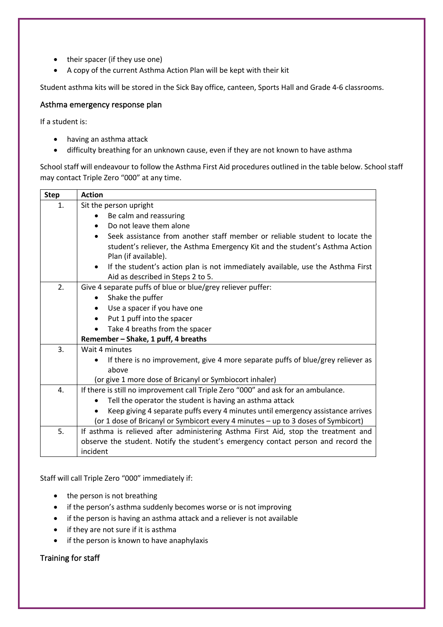- their spacer (if they use one)
- A copy of the current Asthma Action Plan will be kept with their kit

Student asthma kits will be stored in the Sick Bay office, canteen, Sports Hall and Grade 4-6 classrooms.

#### Asthma emergency response plan

If a student is:

- having an asthma attack
- difficulty breathing for an unknown cause, even if they are not known to have asthma

School staff will endeavour to follow the Asthma First Aid procedures outlined in the table below. School staff may contact Triple Zero "000" at any time.

| <b>Step</b> | <b>Action</b>                                                                                |  |  |  |  |
|-------------|----------------------------------------------------------------------------------------------|--|--|--|--|
| 1.          | Sit the person upright                                                                       |  |  |  |  |
|             | Be calm and reassuring                                                                       |  |  |  |  |
|             | Do not leave them alone                                                                      |  |  |  |  |
|             | Seek assistance from another staff member or reliable student to locate the                  |  |  |  |  |
|             | student's reliever, the Asthma Emergency Kit and the student's Asthma Action                 |  |  |  |  |
|             | Plan (if available).                                                                         |  |  |  |  |
|             | If the student's action plan is not immediately available, use the Asthma First<br>$\bullet$ |  |  |  |  |
|             | Aid as described in Steps 2 to 5.                                                            |  |  |  |  |
| 2.          | Give 4 separate puffs of blue or blue/grey reliever puffer:                                  |  |  |  |  |
|             | Shake the puffer<br>$\bullet$                                                                |  |  |  |  |
|             | Use a spacer if you have one                                                                 |  |  |  |  |
|             | Put 1 puff into the spacer<br>$\bullet$                                                      |  |  |  |  |
|             | Take 4 breaths from the spacer<br>$\bullet$                                                  |  |  |  |  |
|             | Remember - Shake, 1 puff, 4 breaths                                                          |  |  |  |  |
| 3.          | Wait 4 minutes                                                                               |  |  |  |  |
|             | If there is no improvement, give 4 more separate puffs of blue/grey reliever as<br>$\bullet$ |  |  |  |  |
|             | above                                                                                        |  |  |  |  |
|             | (or give 1 more dose of Bricanyl or Symbiocort inhaler)                                      |  |  |  |  |
| 4.          | If there is still no improvement call Triple Zero "000" and ask for an ambulance.            |  |  |  |  |
|             | Tell the operator the student is having an asthma attack                                     |  |  |  |  |
|             | Keep giving 4 separate puffs every 4 minutes until emergency assistance arrives              |  |  |  |  |
|             | (or 1 dose of Bricanyl or Symbicort every 4 minutes - up to 3 doses of Symbicort)            |  |  |  |  |
| 5.          | If asthma is relieved after administering Asthma First Aid, stop the treatment and           |  |  |  |  |
|             | observe the student. Notify the student's emergency contact person and record the            |  |  |  |  |
|             | incident                                                                                     |  |  |  |  |

Staff will call Triple Zero "000" immediately if:

- the person is not breathing
- if the person's asthma suddenly becomes worse or is not improving
- if the person is having an asthma attack and a reliever is not available
- if they are not sure if it is asthma
- if the person is known to have anaphylaxis

Training for staff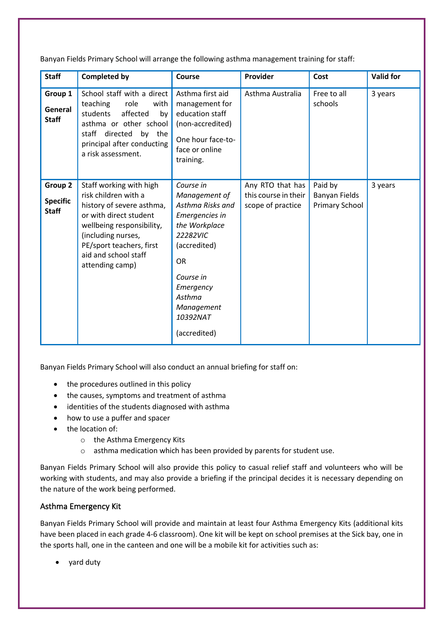Banyan Fields Primary School will arrange the following asthma management training for staff:

| <b>Staff</b>                               | <b>Completed by</b>                                                                                                                                                                                                              | Course                                                                                                                                                                                                   | Provider                                                      | Cost                                       | <b>Valid for</b> |
|--------------------------------------------|----------------------------------------------------------------------------------------------------------------------------------------------------------------------------------------------------------------------------------|----------------------------------------------------------------------------------------------------------------------------------------------------------------------------------------------------------|---------------------------------------------------------------|--------------------------------------------|------------------|
| Group 1<br>General<br><b>Staff</b>         | School staff with a direct<br>teaching<br>role<br>with<br>students<br>affected<br>by<br>asthma or other school<br>directed<br>staff<br>by the<br>principal after conducting<br>a risk assessment.                                | Asthma first aid<br>management for<br>education staff<br>(non-accredited)<br>One hour face-to-<br>face or online<br>training.                                                                            | Asthma Australia                                              | Free to all<br>schools                     | 3 years          |
| Group 2<br><b>Specific</b><br><b>Staff</b> | Staff working with high<br>risk children with a<br>history of severe asthma,<br>or with direct student<br>wellbeing responsibility,<br>(including nurses,<br>PE/sport teachers, first<br>aid and school staff<br>attending camp) | Course in<br>Management of<br>Asthma Risks and<br>Emergencies in<br>the Workplace<br>22282VIC<br>(accredited)<br><b>OR</b><br>Course in<br>Emergency<br>Asthma<br>Management<br>10392NAT<br>(accredited) | Any RTO that has<br>this course in their<br>scope of practice | Paid by<br>Banyan Fields<br>Primary School | 3 years          |

Banyan Fields Primary School will also conduct an annual briefing for staff on:

- the procedures outlined in this policy
- the causes, symptoms and treatment of asthma
- identities of the students diagnosed with asthma
- how to use a puffer and spacer
- the location of:
	- o the Asthma Emergency Kits
	- o asthma medication which has been provided by parents for student use.

Banyan Fields Primary School will also provide this policy to casual relief staff and volunteers who will be working with students, and may also provide a briefing if the principal decides it is necessary depending on the nature of the work being performed.

## Asthma Emergency Kit

Banyan Fields Primary School will provide and maintain at least four Asthma Emergency Kits (additional kits have been placed in each grade 4-6 classroom). One kit will be kept on school premises at the Sick bay, one in the sports hall, one in the canteen and one will be a mobile kit for activities such as:

• yard duty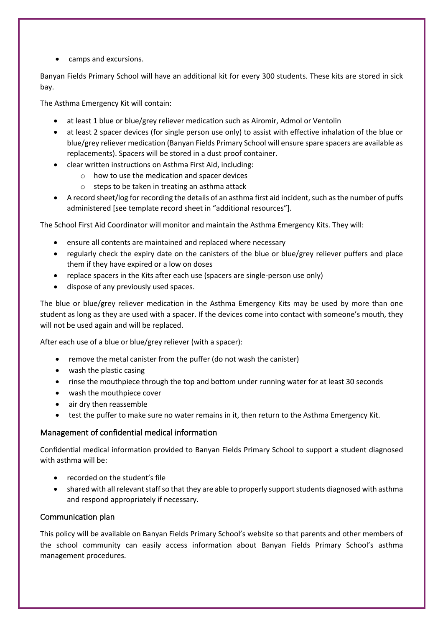• camps and excursions.

Banyan Fields Primary School will have an additional kit for every 300 students. These kits are stored in sick bay.

The Asthma Emergency Kit will contain:

- at least 1 blue or blue/grey reliever medication such as Airomir, Admol or Ventolin
- at least 2 spacer devices (for single person use only) to assist with effective inhalation of the blue or blue/grey reliever medication (Banyan Fields Primary School will ensure spare spacers are available as replacements). Spacers will be stored in a dust proof container.
- clear written instructions on Asthma First Aid, including:
	- o how to use the medication and spacer devices
	- o steps to be taken in treating an asthma attack
- A record sheet/log for recording the details of an asthma first aid incident, such as the number of puffs administered [see template record sheet in "additional resources"].

The School First Aid Coordinator will monitor and maintain the Asthma Emergency Kits. They will:

- ensure all contents are maintained and replaced where necessary
- regularly check the expiry date on the canisters of the blue or blue/grey reliever puffers and place them if they have expired or a low on doses
- replace spacers in the Kits after each use (spacers are single-person use only)
- dispose of any previously used spaces.

The blue or blue/grey reliever medication in the Asthma Emergency Kits may be used by more than one student as long as they are used with a spacer. If the devices come into contact with someone's mouth, they will not be used again and will be replaced.

After each use of a blue or blue/grey reliever (with a spacer):

- remove the metal canister from the puffer (do not wash the canister)
- wash the plastic casing
- rinse the mouthpiece through the top and bottom under running water for at least 30 seconds
- wash the mouthpiece cover
- air dry then reassemble
- test the puffer to make sure no water remains in it, then return to the Asthma Emergency Kit.

## Management of confidential medical information

Confidential medical information provided to Banyan Fields Primary School to support a student diagnosed with asthma will be:

- recorded on the student's file
- shared with all relevant staff so that they are able to properly support students diagnosed with asthma and respond appropriately if necessary.

## Communication plan

This policy will be available on Banyan Fields Primary School's website so that parents and other members of the school community can easily access information about Banyan Fields Primary School's asthma management procedures.